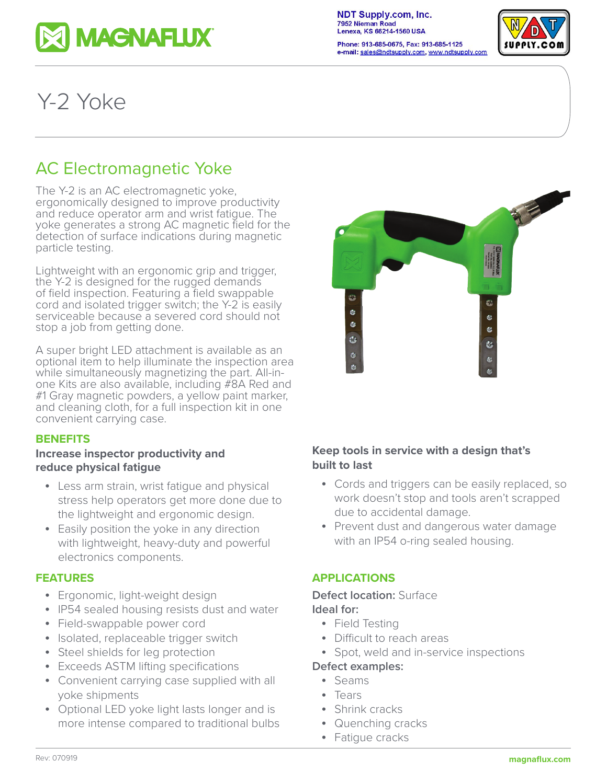

**NDT Supply.com, Inc.** 7952 Nieman Road Lenexa, KS 66214-1560 USA

Phone: 913-685-0675, Fax: 913-685-1125 |SUPPLY.COM e-mail: sales@ndtsupply.com, www.ndtsupply.com



# Y-2 Yoke

# AC Electromagnetic Yoke

The Y-2 is an AC electromagnetic yoke, ergonomically designed to improve productivity and reduce operator arm and wrist fatigue. The yoke generates a strong AC magnetic field for the detection of surface indications during magnetic particle testing.

Lightweight with an ergonomic grip and trigger, the Y-2 is designed for the rugged demands of field inspection. Featuring a field swappable cord and isolated trigger switch; the Y-2 is easily serviceable because a severed cord should not stop a job from getting done.

A super bright LED attachment is available as an optional item to help illuminate the inspection area while simultaneously magnetizing the part. All-inone Kits are also available, including #8A Red and #1 Gray magnetic powders, a yellow paint marker, and cleaning cloth, for a full inspection kit in one convenient carrying case.

#### **BENEFITS**

#### **Increase inspector productivity and reduce physical fatigue**

- Less arm strain, wrist fatigue and physical stress help operators get more done due to the lightweight and ergonomic design.
- Easily position the yoke in any direction with lightweight, heavy-duty and powerful electronics components.

#### **FEATURES**

- Ergonomic, light-weight design
- IP54 sealed housing resists dust and water
- Field-swappable power cord
- Isolated, replaceable trigger switch
- Steel shields for leg protection
- Exceeds ASTM lifting specifications
- Convenient carrying case supplied with all yoke shipments
- Optional LED yoke light lasts longer and is more intense compared to traditional bulbs



# **Keep tools in service with a design that's built to last**

- Cords and triggers can be easily replaced, so work doesn't stop and tools aren't scrapped due to accidental damage.
- Prevent dust and dangerous water damage with an IP54 o-ring sealed housing.

# **APPLICATIONS**

### **Defect location:** Surface **Ideal for:**

- Field Testing
- Difficult to reach areas
- Spot, weld and in-service inspections

#### **Defect examples:**

- Seams
- Tears
- Shrink cracks
- Quenching cracks
- Fatigue cracks